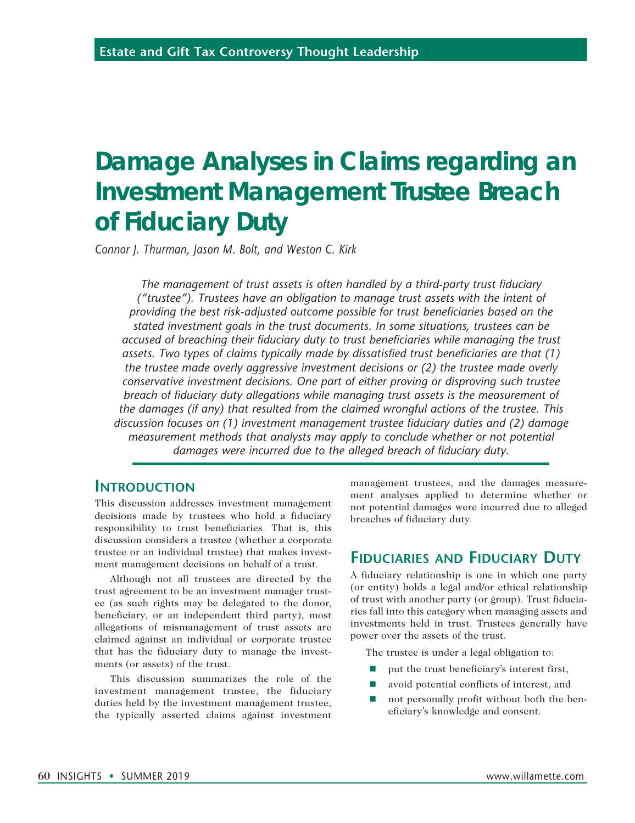# **Damage Analyses in Claims regarding an Investment Management Trustee Breach of Fiduciary Duty**

*Connor J. Thurman, Jason M. Bolt, and Weston C. Kirk*

*The management of trust assets is often handled by a third-party trust fiduciary ("trustee"). Trustees have an obligation to manage trust assets with the intent of providing the best risk-adjusted outcome possible for trust beneficiaries based on the stated investment goals in the trust documents. In some situations, trustees can be accused of breaching their fiduciary duty to trust beneficiaries while managing the trust assets. Two types of claims typically made by dissatisfied trust beneficiaries are that (1) the trustee made overly aggressive investment decisions or (2) the trustee made overly conservative investment decisions. One part of either proving or disproving such trustee breach of fiduciary duty allegations while managing trust assets is the measurement of the damages (if any) that resulted from the claimed wrongful actions of the trustee. This discussion focuses on (1) investment management trustee fiduciary duties and (2) damage measurement methods that analysts may apply to conclude whether or not potential damages were incurred due to the alleged breach of fiduciary duty.*

## **Introduction**

This discussion addresses investment management decisions made by trustees who hold a fiduciary responsibility to trust beneficiaries. That is, this discussion considers a trustee (whether a corporate trustee or an individual trustee) that makes investment management decisions on behalf of a trust.

Although not all trustees are directed by the trust agreement to be an investment manager trustee (as such rights may be delegated to the donor, beneficiary, or an independent third party), most allegations of mismanagement of trust assets are claimed against an individual or corporate trustee that has the fiduciary duty to manage the investments (or assets) of the trust.

This discussion summarizes the role of the investment management trustee, the fiduciary duties held by the investment management trustee, the typically asserted claims against investment

management trustees, and the damages measurement analyses applied to determine whether or not potential damages were incurred due to alleged breaches of fiduciary duty.

# **Fiduciaries and Fiduciary Duty**

A fiduciary relationship is one in which one party (or entity) holds a legal and/or ethical relationship of trust with another party (or group). Trust fiduciaries fall into this category when managing assets and investments held in trust. Trustees generally have power over the assets of the trust.

The trustee is under a legal obligation to:

- put the trust beneficiary's interest first,
- avoid potential conflicts of interest, and
- $\blacksquare$  not personally profit without both the beneficiary's knowledge and consent.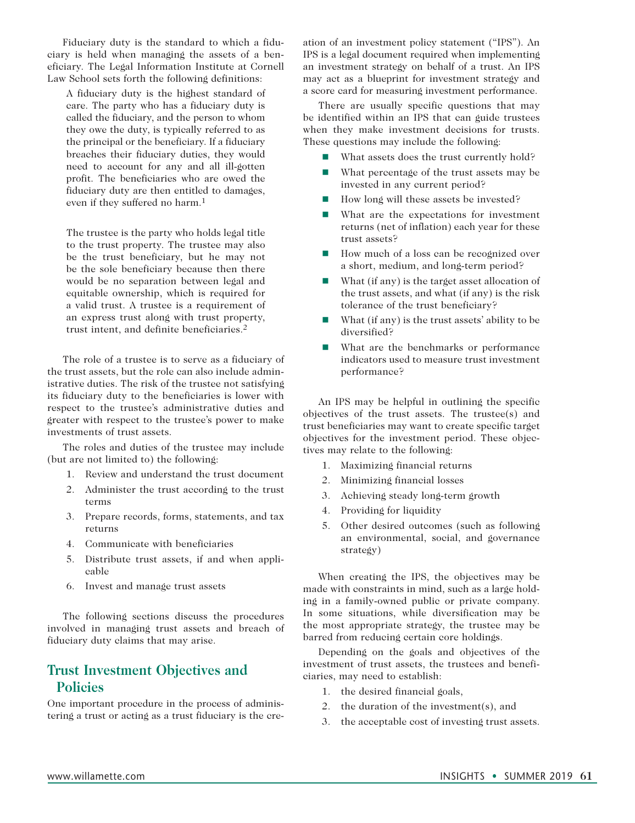Fiduciary duty is the standard to which a fiduciary is held when managing the assets of a beneficiary. The Legal Information Institute at Cornell Law School sets forth the following definitions:

A fiduciary duty is the highest standard of care. The party who has a fiduciary duty is called the fiduciary, and the person to whom they owe the duty, is typically referred to as the principal or the beneficiary. If a fiduciary breaches their fiduciary duties, they would need to account for any and all ill-gotten profit. The beneficiaries who are owed the fiduciary duty are then entitled to damages, even if they suffered no harm.1

The trustee is the party who holds legal title to the trust property. The trustee may also be the trust beneficiary, but he may not be the sole beneficiary because then there would be no separation between legal and equitable ownership, which is required for a valid trust. A trustee is a requirement of an express trust along with trust property, trust intent, and definite beneficiaries.2

The role of a trustee is to serve as a fiduciary of the trust assets, but the role can also include administrative duties. The risk of the trustee not satisfying its fiduciary duty to the beneficiaries is lower with respect to the trustee's administrative duties and greater with respect to the trustee's power to make investments of trust assets.

The roles and duties of the trustee may include (but are not limited to) the following:

- 1. Review and understand the trust document
- 2. Administer the trust according to the trust terms
- 3. Prepare records, forms, statements, and tax returns
- 4. Communicate with beneficiaries
- 5. Distribute trust assets, if and when applicable
- 6. Invest and manage trust assets

The following sections discuss the procedures involved in managing trust assets and breach of fiduciary duty claims that may arise.

# **Trust Investment Objectives and Policies**

One important procedure in the process of administering a trust or acting as a trust fiduciary is the creation of an investment policy statement ("IPS"). An IPS is a legal document required when implementing an investment strategy on behalf of a trust. An IPS may act as a blueprint for investment strategy and a score card for measuring investment performance.

There are usually specific questions that may be identified within an IPS that can guide trustees when they make investment decisions for trusts. These questions may include the following:

- What assets does the trust currently hold?
- $\blacksquare$  What percentage of the trust assets may be invested in any current period?
- $\blacksquare$  How long will these assets be invested?
- $\blacksquare$  What are the expectations for investment returns (net of inflation) each year for these trust assets?
- How much of a loss can be recognized over a short, medium, and long-term period?
- $\blacksquare$  What (if any) is the target asset allocation of the trust assets, and what (if any) is the risk tolerance of the trust beneficiary?
- $\blacksquare$  What (if any) is the trust assets' ability to be diversified?
- $\blacksquare$  What are the benchmarks or performance indicators used to measure trust investment performance?

An IPS may be helpful in outlining the specific objectives of the trust assets. The trustee(s) and trust beneficiaries may want to create specific target objectives for the investment period. These objectives may relate to the following:

- 1. Maximizing financial returns
- 2. Minimizing financial losses
- 3. Achieving steady long-term growth
- 4. Providing for liquidity
- 5. Other desired outcomes (such as following an environmental, social, and governance strategy)

When creating the IPS, the objectives may be made with constraints in mind, such as a large holding in a family-owned public or private company. In some situations, while diversification may be the most appropriate strategy, the trustee may be barred from reducing certain core holdings.

Depending on the goals and objectives of the investment of trust assets, the trustees and beneficiaries, may need to establish:

- 1. the desired financial goals,
- 2. the duration of the investment(s), and
- 3. the acceptable cost of investing trust assets.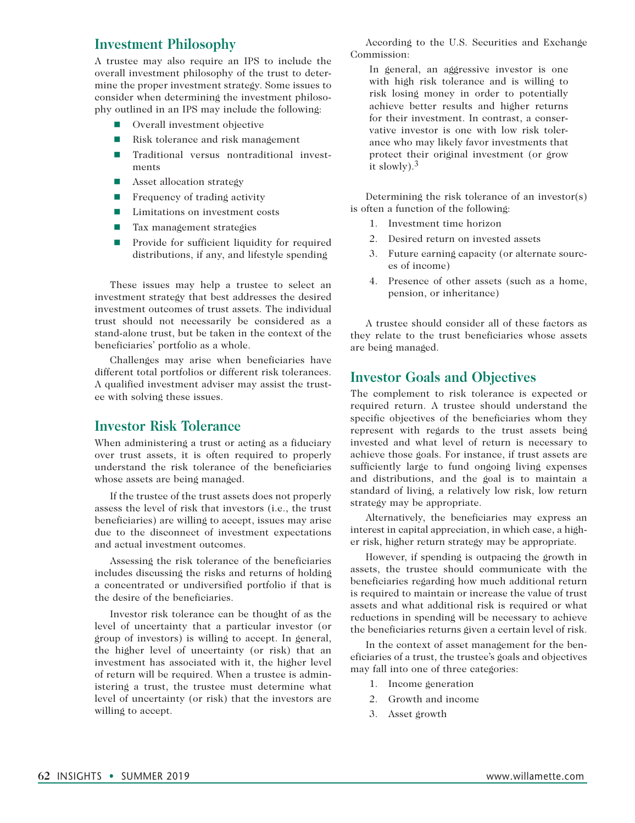## **Investment Philosophy**

A trustee may also require an IPS to include the overall investment philosophy of the trust to determine the proper investment strategy. Some issues to consider when determining the investment philosophy outlined in an IPS may include the following:

- $\blacksquare$  Overall investment objective
- Risk tolerance and risk management
- **n** Traditional versus nontraditional investments
- $\blacksquare$  Asset allocation strategy
- $\blacksquare$  Frequency of trading activity
- $\blacksquare$  Limitations on investment costs
- $\blacksquare$  Tax management strategies
- **n** Provide for sufficient liquidity for required distributions, if any, and lifestyle spending

These issues may help a trustee to select an investment strategy that best addresses the desired investment outcomes of trust assets. The individual trust should not necessarily be considered as a stand-alone trust, but be taken in the context of the beneficiaries' portfolio as a whole.

Challenges may arise when beneficiaries have different total portfolios or different risk tolerances. A qualified investment adviser may assist the trustee with solving these issues.

## **Investor Risk Tolerance**

When administering a trust or acting as a fiduciary over trust assets, it is often required to properly understand the risk tolerance of the beneficiaries whose assets are being managed.

If the trustee of the trust assets does not properly assess the level of risk that investors (i.e., the trust beneficiaries) are willing to accept, issues may arise due to the disconnect of investment expectations and actual investment outcomes.

Assessing the risk tolerance of the beneficiaries includes discussing the risks and returns of holding a concentrated or undiversified portfolio if that is the desire of the beneficiaries.

Investor risk tolerance can be thought of as the level of uncertainty that a particular investor (or group of investors) is willing to accept. In general, the higher level of uncertainty (or risk) that an investment has associated with it, the higher level of return will be required. When a trustee is administering a trust, the trustee must determine what level of uncertainty (or risk) that the investors are willing to accept.

According to the U.S. Securities and Exchange Commission:

In general, an aggressive investor is one with high risk tolerance and is willing to risk losing money in order to potentially achieve better results and higher returns for their investment. In contrast, a conservative investor is one with low risk tolerance who may likely favor investments that protect their original investment (or grow it slowly).3

Determining the risk tolerance of an investor(s) is often a function of the following:

- 1. Investment time horizon
- 2. Desired return on invested assets
- 3. Future earning capacity (or alternate sources of income)
- 4. Presence of other assets (such as a home, pension, or inheritance)

A trustee should consider all of these factors as they relate to the trust beneficiaries whose assets are being managed.

## **Investor Goals and Objectives**

The complement to risk tolerance is expected or required return. A trustee should understand the specific objectives of the beneficiaries whom they represent with regards to the trust assets being invested and what level of return is necessary to achieve those goals. For instance, if trust assets are sufficiently large to fund ongoing living expenses and distributions, and the goal is to maintain a standard of living, a relatively low risk, low return strategy may be appropriate.

Alternatively, the beneficiaries may express an interest in capital appreciation, in which case, a higher risk, higher return strategy may be appropriate.

However, if spending is outpacing the growth in assets, the trustee should communicate with the beneficiaries regarding how much additional return is required to maintain or increase the value of trust assets and what additional risk is required or what reductions in spending will be necessary to achieve the beneficiaries returns given a certain level of risk.

In the context of asset management for the beneficiaries of a trust, the trustee's goals and objectives may fall into one of three categories:

- 1. Income generation
- 2. Growth and income
- 3. Asset growth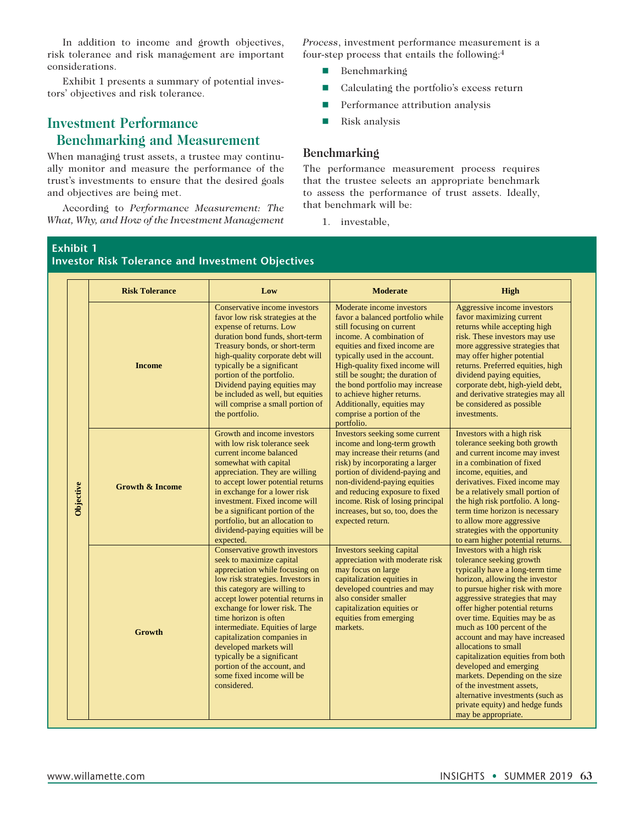In addition to income and growth objectives, risk tolerance and risk management are important considerations.

Exhibit 1 presents a summary of potential investors' objectives and risk tolerance.

# **Investment Performance Benchmarking and Measurement**

When managing trust assets, a trustee may continually monitor and measure the performance of the trust's investments to ensure that the desired goals and objectives are being met.

According to *Performance Measurement: The What, Why, and How of the Investment Management*  *Process*, investment performance measurement is a four-step process that entails the following:4

- $\blacksquare$  Benchmarking
- Calculating the portfolio's excess return
- $\blacksquare$  Performance attribution analysis
- **n** Risk analysis

## **Benchmarking**

The performance measurement process requires that the trustee selects an appropriate benchmark to assess the performance of trust assets. Ideally, that benchmark will be:

1. investable,

#### **Exhibit 1 Investor Risk Tolerance and Investment Objectives**

|                  | <b>Risk Tolerance</b>      | Low                                                                                                                                                                                                                                                                                                                                                                                                                                                                 | <b>Moderate</b>                                                                                                                                                                                                                                                                                                                                                                                           | <b>High</b>                                                                                                                                                                                                                                                                                                                                                                                                                                                                                                                                                                             |
|------------------|----------------------------|---------------------------------------------------------------------------------------------------------------------------------------------------------------------------------------------------------------------------------------------------------------------------------------------------------------------------------------------------------------------------------------------------------------------------------------------------------------------|-----------------------------------------------------------------------------------------------------------------------------------------------------------------------------------------------------------------------------------------------------------------------------------------------------------------------------------------------------------------------------------------------------------|-----------------------------------------------------------------------------------------------------------------------------------------------------------------------------------------------------------------------------------------------------------------------------------------------------------------------------------------------------------------------------------------------------------------------------------------------------------------------------------------------------------------------------------------------------------------------------------------|
| <b>Objective</b> | <b>Income</b>              | Conservative income investors<br>favor low risk strategies at the<br>expense of returns. Low<br>duration bond funds, short-term<br>Treasury bonds, or short-term<br>high-quality corporate debt will<br>typically be a significant<br>portion of the portfolio.<br>Dividend paying equities may<br>be included as well, but equities<br>will comprise a small portion of<br>the portfolio.                                                                          | Moderate income investors<br>favor a balanced portfolio while<br>still focusing on current<br>income. A combination of<br>equities and fixed income are<br>typically used in the account.<br>High-quality fixed income will<br>still be sought; the duration of<br>the bond portfolio may increase<br>to achieve higher returns.<br>Additionally, equities may<br>comprise a portion of the<br>portfolio. | Aggressive income investors<br>favor maximizing current<br>returns while accepting high<br>risk. These investors may use<br>more aggressive strategies that<br>may offer higher potential<br>returns. Preferred equities, high<br>dividend paying equities,<br>corporate debt, high-yield debt,<br>and derivative strategies may all<br>be considered as possible<br>investments.                                                                                                                                                                                                       |
|                  | <b>Growth &amp; Income</b> | Growth and income investors<br>with low risk tolerance seek<br>current income balanced<br>somewhat with capital<br>appreciation. They are willing<br>to accept lower potential returns<br>in exchange for a lower risk<br>investment. Fixed income will<br>be a significant portion of the<br>portfolio, but an allocation to<br>dividend-paying equities will be<br>expected.                                                                                      | Investors seeking some current<br>income and long-term growth<br>may increase their returns (and<br>risk) by incorporating a larger<br>portion of dividend-paying and<br>non-dividend-paying equities<br>and reducing exposure to fixed<br>income. Risk of losing principal<br>increases, but so, too, does the<br>expected return.                                                                       | Investors with a high risk<br>tolerance seeking both growth<br>and current income may invest<br>in a combination of fixed<br>income, equities, and<br>derivatives. Fixed income may<br>be a relatively small portion of<br>the high risk portfolio. A long-<br>term time horizon is necessary<br>to allow more aggressive<br>strategies with the opportunity<br>to earn higher potential returns.                                                                                                                                                                                       |
|                  | Growth                     | Conservative growth investors<br>seek to maximize capital<br>appreciation while focusing on<br>low risk strategies. Investors in<br>this category are willing to<br>accept lower potential returns in<br>exchange for lower risk. The<br>time horizon is often<br>intermediate. Equities of large<br>capitalization companies in<br>developed markets will<br>typically be a significant<br>portion of the account, and<br>some fixed income will be<br>considered. | Investors seeking capital<br>appreciation with moderate risk<br>may focus on large<br>capitalization equities in<br>developed countries and may<br>also consider smaller<br>capitalization equities or<br>equities from emerging<br>markets.                                                                                                                                                              | Investors with a high risk<br>tolerance seeking growth<br>typically have a long-term time<br>horizon, allowing the investor<br>to pursue higher risk with more<br>aggressive strategies that may<br>offer higher potential returns<br>over time. Equities may be as<br>much as 100 percent of the<br>account and may have increased<br>allocations to small<br>capitalization equities from both<br>developed and emerging<br>markets. Depending on the size<br>of the investment assets.<br>alternative investments (such as<br>private equity) and hedge funds<br>may be appropriate. |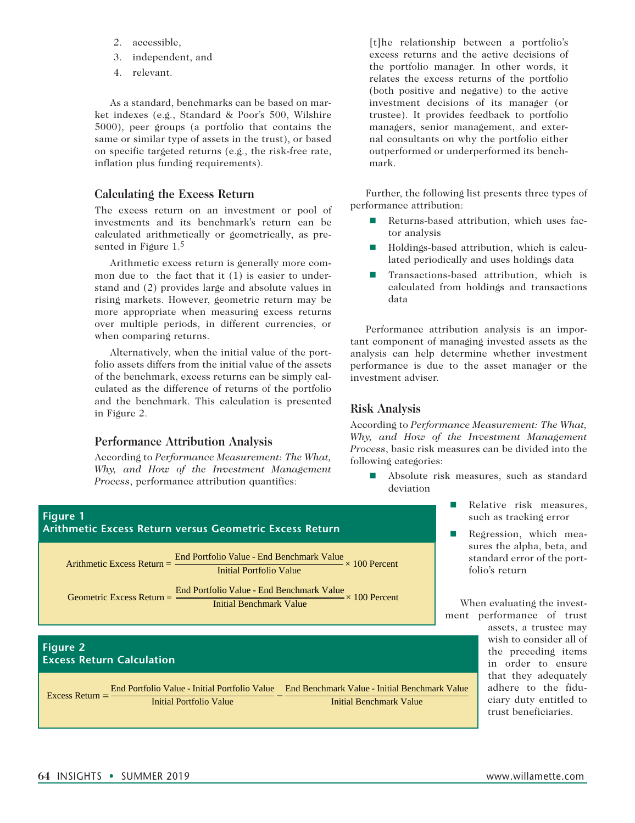- 2. accessible,
- 3. independent, and
- 4. relevant.

As a standard, benchmarks can be based on market indexes (e.g., Standard & Poor's 500, Wilshire 5000), peer groups (a portfolio that contains the same or similar type of assets in the trust), or based on specific targeted returns (e.g., the risk-free rate, inflation plus funding requirements).

## **Calculating the Excess Return**

The excess return on an investment or pool of investments and its benchmark's return can be calculated arithmetically or geometrically, as presented in Figure 1.5

Arithmetic excess return is generally more common due to the fact that it (1) is easier to understand and (2) provides large and absolute values in rising markets. However, geometric return may be more appropriate when measuring excess returns over multiple periods, in different currencies, or when comparing returns.

Alternatively, when the initial value of the portfolio assets differs from the initial value of the assets of the benchmark, excess returns can be simply calculated as the difference of returns of the portfolio and the benchmark. This calculation is presented in Figure 2.

## **Performance Attribution Analysis**

According to *Performance Measurement: The What, Why, and How of the Investment Management Process*, performance attribution quantifies:

[t]he relationship between a portfolio's excess returns and the active decisions of the portfolio manager. In other words, it relates the excess returns of the portfolio (both positive and negative) to the active investment decisions of its manager (or trustee). It provides feedback to portfolio managers, senior management, and external consultants on why the portfolio either outperformed or underperformed its benchmark.

Further, the following list presents three types of performance attribution:

- Returns-based attribution, which uses factor analysis
- Holdings-based attribution, which is calculated periodically and uses holdings data
- Transactions-based attribution, which is calculated from holdings and transactions data

Performance attribution analysis is an important component of managing invested assets as the analysis can help determine whether investment performance is due to the asset manager or the investment adviser.

## **Risk Analysis**

According to *Performance Measurement: The What, Why, and How of the Investment Management Process*, basic risk measures can be divided into the following categories:

- $\blacksquare$  Absolute risk measures, such as standard deviation
- Arithmetic Excess Return =  $\frac{\text{End Portfolio Value End benchmark Value}}{\text{Total Data St. } \text{M. } \text{M. } \text{M. } \text{M. } \text{M. } \text{M. } \text{M. } \text{M. } \text{M. } \text{M. } \text{M. } \text{M. } \text{M. } \text{M. } \text{M. } \text{M. } \text{M. } \text{M. } \text{M. } \text{M. } \text{M. } \text{M. } \text{M. } \text{M. } \text{M. } \text{M. } \text{M. } \text{M. } \text{$ Initial Portfolio Value Geometric Excess Return  $=$   $\frac{\text{End Portfolio Value - End benchmark Value}}{\text{Initial benchmark Value}} \times 100$  Percent **Figure 1 Arithmetic Excess Return versus Geometric Excess Return**

Excess Return = End Portfolio Value - Initial Portfolio Value - End Benchmark Value - Initial Benchmark Value<br>Initial Portfolio Value - Initial Benchmark Value Initial Benchmark Value **Figure 2 Excess Return Calculation**

- Relative risk measures, such as tracking error
- $\blacksquare$  Regression, which measures the alpha, beta, and standard error of the portfolio's return

When evaluating the investment performance of trust

> assets, a trustee may wish to consider all of the preceding items in order to ensure that they adequately adhere to the fiduciary duty entitled to trust beneficiaries.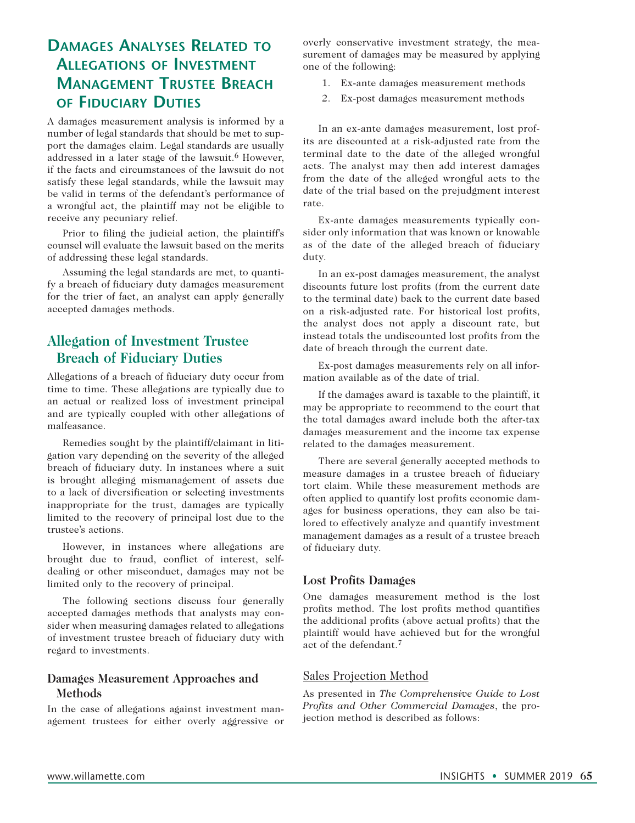# **Damages Analyses Related to Allegations of Investment Management Trustee Breach of Fiduciary Duties**

A damages measurement analysis is informed by a number of legal standards that should be met to support the damages claim. Legal standards are usually addressed in a later stage of the lawsuit.<sup>6</sup> However, if the facts and circumstances of the lawsuit do not satisfy these legal standards, while the lawsuit may be valid in terms of the defendant's performance of a wrongful act, the plaintiff may not be eligible to receive any pecuniary relief.

Prior to filing the judicial action, the plaintiff's counsel will evaluate the lawsuit based on the merits of addressing these legal standards.

Assuming the legal standards are met, to quantify a breach of fiduciary duty damages measurement for the trier of fact, an analyst can apply generally accepted damages methods.

# **Allegation of Investment Trustee Breach of Fiduciary Duties**

Allegations of a breach of fiduciary duty occur from time to time. These allegations are typically due to an actual or realized loss of investment principal and are typically coupled with other allegations of malfeasance.

Remedies sought by the plaintiff/claimant in litigation vary depending on the severity of the alleged breach of fiduciary duty. In instances where a suit is brought alleging mismanagement of assets due to a lack of diversification or selecting investments inappropriate for the trust, damages are typically limited to the recovery of principal lost due to the trustee's actions.

However, in instances where allegations are brought due to fraud, conflict of interest, selfdealing or other misconduct, damages may not be limited only to the recovery of principal.

The following sections discuss four generally accepted damages methods that analysts may consider when measuring damages related to allegations of investment trustee breach of fiduciary duty with regard to investments.

## **Damages Measurement Approaches and Methods**

In the case of allegations against investment management trustees for either overly aggressive or overly conservative investment strategy, the measurement of damages may be measured by applying one of the following:

- 1. Ex-ante damages measurement methods
- 2. Ex-post damages measurement methods

In an ex-ante damages measurement, lost profits are discounted at a risk-adjusted rate from the terminal date to the date of the alleged wrongful acts. The analyst may then add interest damages from the date of the alleged wrongful acts to the date of the trial based on the prejudgment interest rate.

Ex-ante damages measurements typically consider only information that was known or knowable as of the date of the alleged breach of fiduciary duty.

In an ex-post damages measurement, the analyst discounts future lost profits (from the current date to the terminal date) back to the current date based on a risk-adjusted rate. For historical lost profits, the analyst does not apply a discount rate, but instead totals the undiscounted lost profits from the date of breach through the current date.

Ex-post damages measurements rely on all information available as of the date of trial.

If the damages award is taxable to the plaintiff, it may be appropriate to recommend to the court that the total damages award include both the after-tax damages measurement and the income tax expense related to the damages measurement.

There are several generally accepted methods to measure damages in a trustee breach of fiduciary tort claim. While these measurement methods are often applied to quantify lost profits economic damages for business operations, they can also be tailored to effectively analyze and quantify investment management damages as a result of a trustee breach of fiduciary duty.

## **Lost Profits Damages**

One damages measurement method is the lost profits method. The lost profits method quantifies the additional profits (above actual profits) that the plaintiff would have achieved but for the wrongful act of the defendant.7

## Sales Projection Method

As presented in *The Comprehensive Guide to Lost Profits and Other Commercial Damages*, the projection method is described as follows: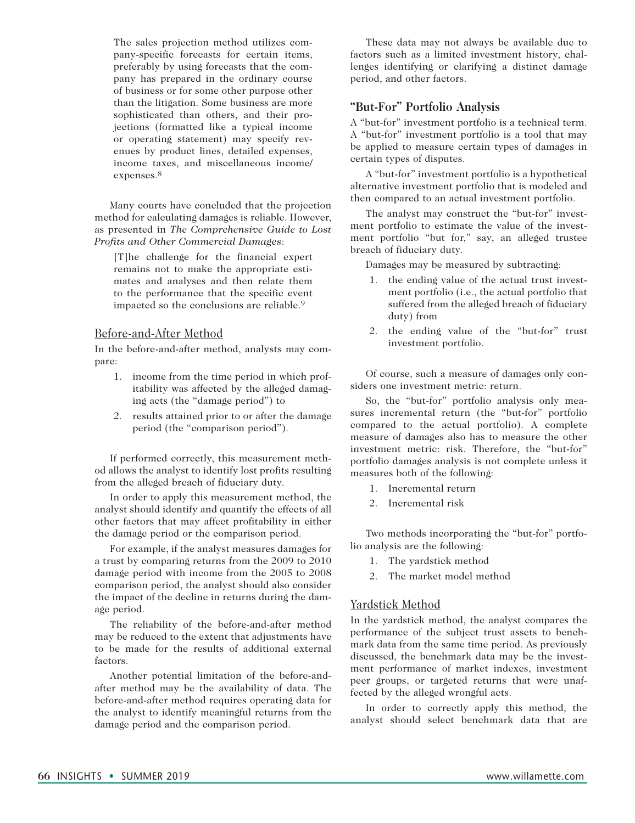The sales projection method utilizes company-specific forecasts for certain items, preferably by using forecasts that the company has prepared in the ordinary course of business or for some other purpose other than the litigation. Some business are more sophisticated than others, and their projections (formatted like a typical income or operating statement) may specify revenues by product lines, detailed expenses, income taxes, and miscellaneous income/ expenses.8

Many courts have concluded that the projection method for calculating damages is reliable. However, as presented in *The Comprehensive Guide to Lost Profits and Other Commercial Damages*:

[T]he challenge for the financial expert remains not to make the appropriate estimates and analyses and then relate them to the performance that the specific event impacted so the conclusions are reliable.9

#### Before-and-After Method

In the before-and-after method, analysts may compare:

- 1. income from the time period in which profitability was affected by the alleged damaging acts (the "damage period") to
- 2. results attained prior to or after the damage period (the "comparison period").

If performed correctly, this measurement method allows the analyst to identify lost profits resulting from the alleged breach of fiduciary duty.

In order to apply this measurement method, the analyst should identify and quantify the effects of all other factors that may affect profitability in either the damage period or the comparison period.

For example, if the analyst measures damages for a trust by comparing returns from the 2009 to 2010 damage period with income from the 2005 to 2008 comparison period, the analyst should also consider the impact of the decline in returns during the damage period.

The reliability of the before-and-after method may be reduced to the extent that adjustments have to be made for the results of additional external factors.

Another potential limitation of the before-andafter method may be the availability of data. The before-and-after method requires operating data for the analyst to identify meaningful returns from the damage period and the comparison period.

These data may not always be available due to factors such as a limited investment history, challenges identifying or clarifying a distinct damage period, and other factors.

## **"But-For" Portfolio Analysis**

A "but-for" investment portfolio is a technical term. A "but-for" investment portfolio is a tool that may be applied to measure certain types of damages in certain types of disputes.

A "but-for" investment portfolio is a hypothetical alternative investment portfolio that is modeled and then compared to an actual investment portfolio.

The analyst may construct the "but-for" investment portfolio to estimate the value of the investment portfolio "but for," say, an alleged trustee breach of fiduciary duty.

Damages may be measured by subtracting:

- 1. the ending value of the actual trust investment portfolio (i.e., the actual portfolio that suffered from the alleged breach of fiduciary duty) from
- 2. the ending value of the "but-for" trust investment portfolio.

Of course, such a measure of damages only considers one investment metric: return.

So, the "but-for" portfolio analysis only measures incremental return (the "but-for" portfolio compared to the actual portfolio). A complete measure of damages also has to measure the other investment metric: risk. Therefore, the "but-for" portfolio damages analysis is not complete unless it measures both of the following:

- 1. Incremental return
- 2. Incremental risk

Two methods incorporating the "but-for" portfolio analysis are the following:

- 1. The yardstick method
- 2. The market model method

## Yardstick Method

In the yardstick method, the analyst compares the performance of the subject trust assets to benchmark data from the same time period. As previously discussed, the benchmark data may be the investment performance of market indexes, investment peer groups, or targeted returns that were unaffected by the alleged wrongful acts.

In order to correctly apply this method, the analyst should select benchmark data that are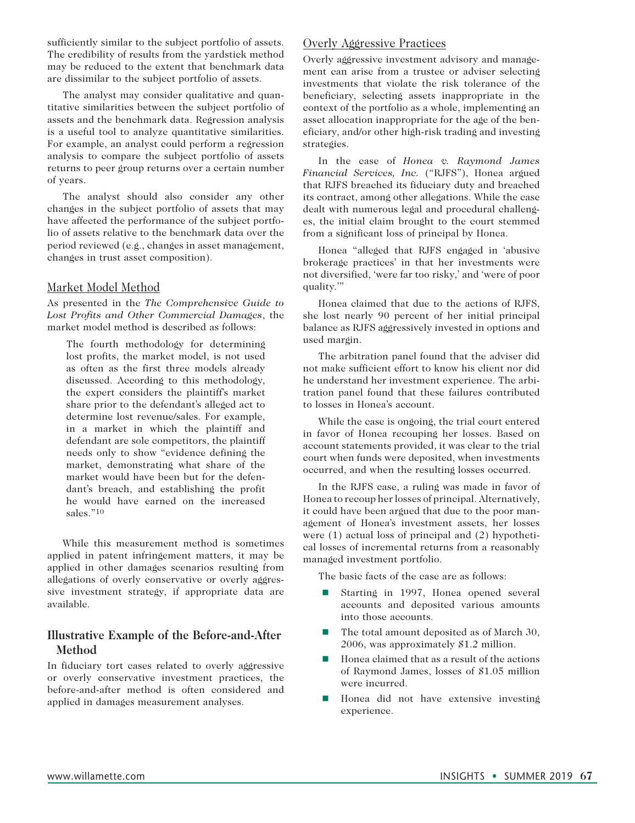sufficiently similar to the subject portfolio of assets. The credibility of results from the yardstick method may be reduced to the extent that benchmark data are dissimilar to the subject portfolio of assets.

The analyst may consider qualitative and quantitative similarities between the subject portfolio of assets and the benchmark data. Regression analysis is a useful tool to analyze quantitative similarities. For example, an analyst could perform a regression analysis to compare the subject portfolio of assets returns to peer group returns over a certain number of years.

The analyst should also consider any other changes in the subject portfolio of assets that may have affected the performance of the subject portfolio of assets relative to the benchmark data over the period reviewed (e.g., changes in asset management, changes in trust asset composition).

## Market Model Method

As presented in the *The Comprehensive Guide to Lost Profits and Other Commercial Damages*, the market model method is described as follows:

The fourth methodology for determining lost profits, the market model, is not used as often as the first three models already discussed. According to this methodology, the expert considers the plaintiff's market share prior to the defendant's alleged act to determine lost revenue/sales. For example, in a market in which the plaintiff and defendant are sole competitors, the plaintiff needs only to show "evidence defining the market, demonstrating what share of the market would have been but for the defendant's breach, and establishing the profit he would have earned on the increased sales."10

While this measurement method is sometimes applied in patent infringement matters, it may be applied in other damages scenarios resulting from allegations of overly conservative or overly aggressive investment strategy, if appropriate data are available.

## **Illustrative Example of the Before-and-After Method**

In fiduciary tort cases related to overly aggressive or overly conservative investment practices, the before-and-after method is often considered and applied in damages measurement analyses.

## Overly Aggressive Practices

Overly aggressive investment advisory and management can arise from a trustee or adviser selecting investments that violate the risk tolerance of the beneficiary, selecting assets inappropriate in the context of the portfolio as a whole, implementing an asset allocation inappropriate for the age of the beneficiary, and/or other high-risk trading and investing strategies.

In the case of *Honea v. Raymond James Financial Services, Inc.* ("RJFS"), Honea argued that RJFS breached its fiduciary duty and breached its contract, among other allegations. While the case dealt with numerous legal and procedural challenges, the initial claim brought to the court stemmed from a significant loss of principal by Honea.

Honea "alleged that RJFS engaged in 'abusive brokerage practices' in that her investments were not diversified, 'were far too risky,' and 'were of poor quality.'"

Honea claimed that due to the actions of RJFS, she lost nearly 90 percent of her initial principal balance as RJFS aggressively invested in options and used margin.

The arbitration panel found that the adviser did not make sufficient effort to know his client nor did he understand her investment experience. The arbitration panel found that these failures contributed to losses in Honea's account.

While the case is ongoing, the trial court entered in favor of Honea recouping her losses. Based on account statements provided, it was clear to the trial court when funds were deposited, when investments occurred, and when the resulting losses occurred.

In the RJFS case, a ruling was made in favor of Honea to recoup her losses of principal. Alternatively, it could have been argued that due to the poor management of Honea's investment assets, her losses were (1) actual loss of principal and (2) hypothetical losses of incremental returns from a reasonably managed investment portfolio.

The basic facts of the case are as follows:

- Starting in 1997, Honea opened several accounts and deposited various amounts into those accounts.
- $\blacksquare$  The total amount deposited as of March 30, 2006, was approximately \$1.2 million.
- $\blacksquare$  Honea claimed that as a result of the actions of Raymond James, losses of \$1.05 million were incurred.
- $\blacksquare$  Honea did not have extensive investing experience.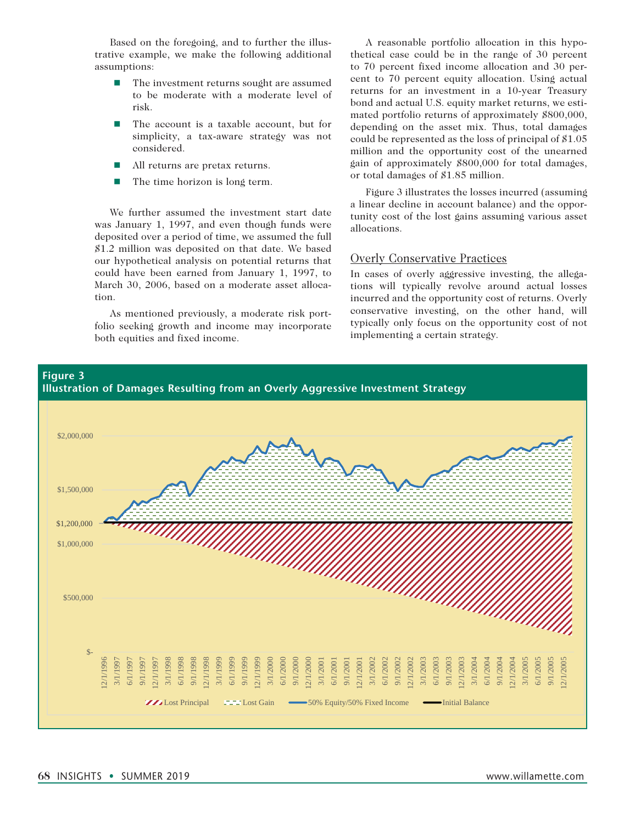Based on the foregoing, and to further the illustrative example, we make the following additional assumptions:

- $\blacksquare$  The investment returns sought are assumed to be moderate with a moderate level of risk.
- $\blacksquare$  The account is a taxable account, but for simplicity, a tax-aware strategy was not considered.
- All returns are pretax returns.
- $\blacksquare$  The time horizon is long term.

We further assumed the investment start date was January 1, 1997, and even though funds were deposited over a period of time, we assumed the full \$1.2 million was deposited on that date. We based our hypothetical analysis on potential returns that could have been earned from January 1, 1997, to March 30, 2006, based on a moderate asset allocation.

As mentioned previously, a moderate risk portfolio seeking growth and income may incorporate both equities and fixed income.

A reasonable portfolio allocation in this hypothetical case could be in the range of 30 percent to 70 percent fixed income allocation and 30 percent to 70 percent equity allocation. Using actual returns for an investment in a 10-year Treasury bond and actual U.S. equity market returns, we estimated portfolio returns of approximately \$800,000, depending on the asset mix. Thus, total damages could be represented as the loss of principal of \$1.05 million and the opportunity cost of the unearned gain of approximately \$800,000 for total damages, or total damages of \$1.85 million.

Figure 3 illustrates the losses incurred (assuming a linear decline in account balance) and the opportunity cost of the lost gains assuming various asset allocations.

## Overly Conservative Practices

In cases of overly aggressive investing, the allegations will typically revolve around actual losses incurred and the opportunity cost of returns. Overly conservative investing, on the other hand, will typically only focus on the opportunity cost of not implementing a certain strategy.

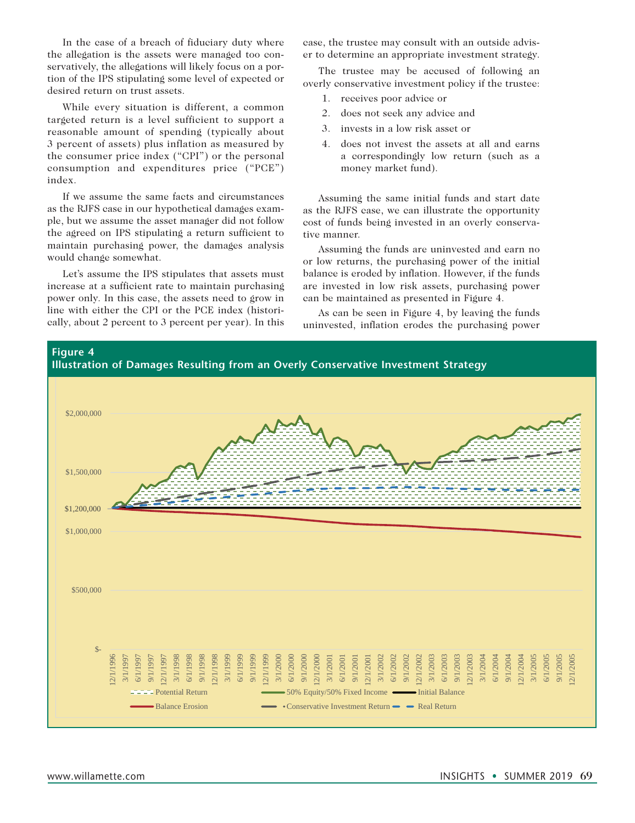In the case of a breach of fiduciary duty where the allegation is the assets were managed too conservatively, the allegations will likely focus on a portion of the IPS stipulating some level of expected or desired return on trust assets.

While every situation is different, a common targeted return is a level sufficient to support a reasonable amount of spending (typically about 3 percent of assets) plus inflation as measured by the consumer price index ("CPI") or the personal consumption and expenditures price ("PCE") index.

If we assume the same facts and circumstances as the RJFS case in our hypothetical damages example, but we assume the asset manager did not follow the agreed on IPS stipulating a return sufficient to maintain purchasing power, the damages analysis would change somewhat.

Let's assume the IPS stipulates that assets must increase at a sufficient rate to maintain purchasing power only. In this case, the assets need to grow in line with either the CPI or the PCE index (historically, about 2 percent to 3 percent per year). In this case, the trustee may consult with an outside adviser to determine an appropriate investment strategy.

The trustee may be accused of following an overly conservative investment policy if the trustee:

- 1. receives poor advice or
- 2. does not seek any advice and
- 3. invests in a low risk asset or
- 4. does not invest the assets at all and earns a correspondingly low return (such as a money market fund).

Assuming the same initial funds and start date as the RJFS case, we can illustrate the opportunity cost of funds being invested in an overly conservative manner.

Assuming the funds are uninvested and earn no or low returns, the purchasing power of the initial balance is eroded by inflation. However, if the funds are invested in low risk assets, purchasing power can be maintained as presented in Figure 4.

As can be seen in Figure 4, by leaving the funds uninvested, inflation erodes the purchasing power